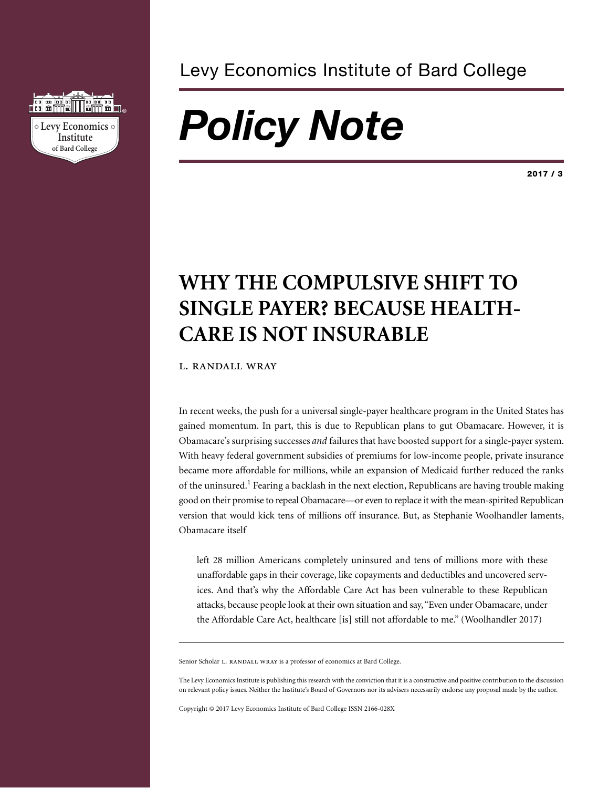

### Levy Economics Institute of Bard College

# *Policy Note*

**2017 / 3**

## **WHY THE COMPULSIVE SHIFT TO SINGLE PAYER? BECAUSE HEALTH-CARE IS NOT INSURABLE**

L. RANDALL WRAY

In recent weeks, the push for a universal single-payer healthcare program in the United States has gained momentum. In part, this is due to Republican plans to gut Obamacare. However, it is Obamacare's surprising successes *and* failures that have boosted support for a single-payer system. With heavy federal government subsidies of premiums for low-income people, private insurance became more affordable for millions, while an expansion of Medicaid further reduced the ranks of the uninsured.<sup>1</sup> Fearing a backlash in the next election, Republicans are having trouble making good on their promise to repeal Obamacare—or even to replace it with the mean-spirited Republican version that would kick tens of millions off insurance. But, as Stephanie Woolhandler laments, Obamacare itself

left 28 million Americans completely uninsured and tens of millions more with these unaffordable gaps in their coverage, like copayments and deductibles and uncovered services. And that's why the Affordable Care Act has been vulnerable to these Republican attacks, because people look at their own situation and say,"Even under Obamacare, under the Affordable Care Act, healthcare [is] still not affordable to me." (Woolhandler 2017)

Senior Scholar L. RANDALL WRAY is a professor of economics at Bard College.

The Levy Economics Institute is publishing this research with the conviction that it is a constructive and positive contribution to the discussion on relevant policy issues. Neither the Institute's Board of Governors nor its advisers necessarily endorse any proposal made by the author.

Copyright © 2017 Levy Economics Institute of Bard College ISSN 2166-028X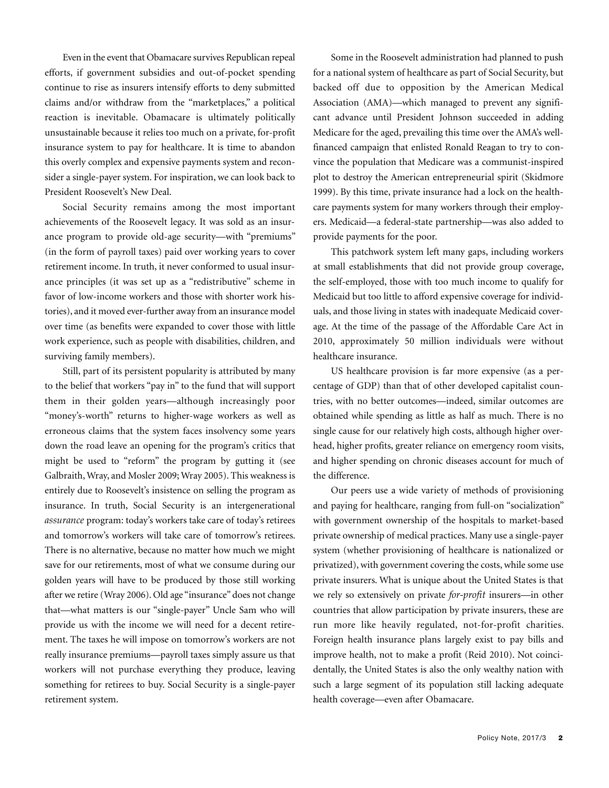Even in the event that Obamacare survives Republican repeal efforts, if government subsidies and out-of-pocket spending continue to rise as insurers intensify efforts to deny submitted claims and/or withdraw from the "marketplaces," a political reaction is inevitable. Obamacare is ultimately politically unsustainable because it relies too much on a private, for-profit insurance system to pay for healthcare. It is time to abandon this overly complex and expensive payments system and reconsider a single-payer system. For inspiration, we can look back to President Roosevelt's New Deal.

Social Security remains among the most important achievements of the Roosevelt legacy. It was sold as an insurance program to provide old-age security—with "premiums" (in the form of payroll taxes) paid over working years to cover retirement income. In truth, it never conformed to usual insurance principles (it was set up as a "redistributive" scheme in favor of low-income workers and those with shorter work histories), and it moved ever-further away from an insurance model over time (as benefits were expanded to cover those with little work experience, such as people with disabilities, children, and surviving family members).

Still, part of its persistent popularity is attributed by many to the belief that workers "pay in" to the fund that will support them in their golden years—although increasingly poor "money's-worth" returns to higher-wage workers as well as erroneous claims that the system faces insolvency some years down the road leave an opening for the program's critics that might be used to "reform" the program by gutting it (see Galbraith,Wray, and Mosler 2009; Wray 2005). This weakness is entirely due to Roosevelt's insistence on selling the program as insurance. In truth, Social Security is an intergenerational *assurance* program: today's workers take care of today's retirees and tomorrow's workers will take care of tomorrow's retirees. There is no alternative, because no matter how much we might save for our retirements, most of what we consume during our golden years will have to be produced by those still working after we retire (Wray 2006). Old age "insurance" does not change that—what matters is our "single-payer" Uncle Sam who will provide us with the income we will need for a decent retirement. The taxes he will impose on tomorrow's workers are not really insurance premiums—payroll taxes simply assure us that workers will not purchase everything they produce, leaving something for retirees to buy. Social Security is a single-payer retirement system.

Some in the Roosevelt administration had planned to push for a national system of healthcare as part of Social Security, but backed off due to opposition by the American Medical Association (AMA)—which managed to prevent any significant advance until President Johnson succeeded in adding Medicare for the aged, prevailing this time over the AMA's wellfinanced campaign that enlisted Ronald Reagan to try to convince the population that Medicare was a communist-inspired plot to destroy the American entrepreneurial spirit (Skidmore 1999). By this time, private insurance had a lock on the healthcare payments system for many workers through their employers. Medicaid—a federal-state partnership—was also added to provide payments for the poor.

This patchwork system left many gaps, including workers at small establishments that did not provide group coverage, the self-employed, those with too much income to qualify for Medicaid but too little to afford expensive coverage for individuals, and those living in states with inadequate Medicaid coverage. At the time of the passage of the Affordable Care Act in 2010, approximately 50 million individuals were without healthcare insurance.

US healthcare provision is far more expensive (as a percentage of GDP) than that of other developed capitalist countries, with no better outcomes—indeed, similar outcomes are obtained while spending as little as half as much. There is no single cause for our relatively high costs, although higher overhead, higher profits, greater reliance on emergency room visits, and higher spending on chronic diseases account for much of the difference.

Our peers use a wide variety of methods of provisioning and paying for healthcare, ranging from full-on "socialization" with government ownership of the hospitals to market-based private ownership of medical practices. Many use a single-payer system (whether provisioning of healthcare is nationalized or privatized), with government covering the costs, while some use private insurers. What is unique about the United States is that we rely so extensively on private *for-profit* insurers—in other countries that allow participation by private insurers, these are run more like heavily regulated, not-for-profit charities. Foreign health insurance plans largely exist to pay bills and improve health, not to make a profit (Reid 2010). Not coincidentally, the United States is also the only wealthy nation with such a large segment of its population still lacking adequate health coverage—even after Obamacare.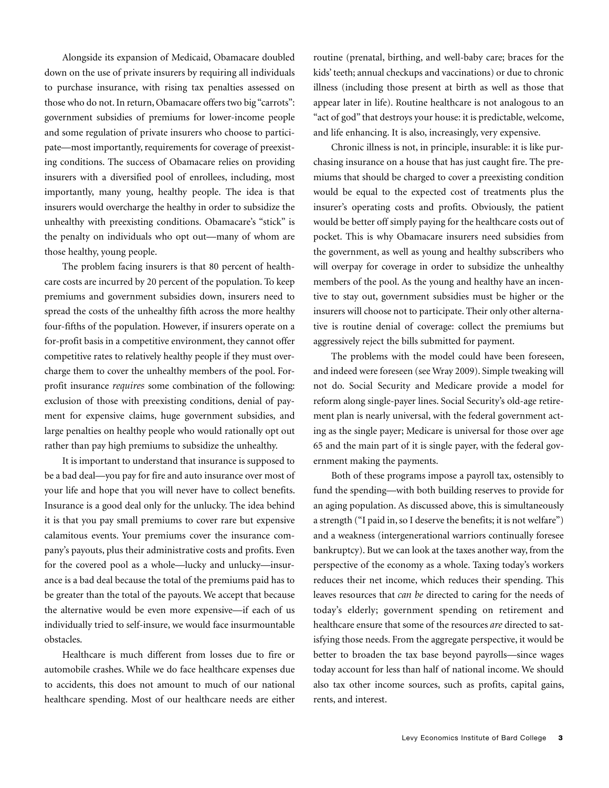Alongside its expansion of Medicaid, Obamacare doubled down on the use of private insurers by requiring all individuals to purchase insurance, with rising tax penalties assessed on those who do not.In return, Obamacare offers two big "carrots": government subsidies of premiums for lower-income people and some regulation of private insurers who choose to participate-most importantly, requirements for coverage of preexisting conditions. The success of Obamacare relies on providing insurers with a diversified pool of enrollees, including, most importantly, many young, healthy people. The idea is that insurers would overcharge the healthy in order to subsidize the unhealthy with preexisting conditions. Obamacare's "stick" is the penalty on individuals who opt out—many of whom are those healthy, young people.

The problem facing insurers is that 80 percent of healthcare costs are incurred by 20 percent of the population. To keep premiums and government subsidies down, insurers need to spread the costs of the unhealthy fifth across the more healthy four-fifths of the population. However, if insurers operate on a for-profit basis in a competitive environment, they cannot offer competitive rates to relatively healthy people if they must overcharge them to cover the unhealthy members of the pool. Forprofit insurance *requires* some combination of the following: exclusion of those with preexisting conditions, denial of payment for expensive claims, huge government subsidies, and large penalties on healthy people who would rationally opt out rather than pay high premiums to subsidize the unhealthy.

It is important to understand that insurance is supposed to be a bad deal—you pay for fire and auto insurance over most of your life and hope that you will never have to collect benefits. Insurance is a good deal only for the unlucky. The idea behind it is that you pay small premiums to cover rare but expensive calamitous events. Your premiums cover the insurance company's payouts, plus their administrative costs and profits. Even for the covered pool as a whole—lucky and unlucky—insurance is a bad deal because the total of the premiums paid has to be greater than the total of the payouts. We accept that because the alternative would be even more expensive—if each of us individually tried to self-insure, we would face insurmountable obstacles.

Healthcare is much different from losses due to fire or automobile crashes. While we do face healthcare expenses due to accidents, this does not amount to much of our national healthcare spending. Most of our healthcare needs are either routine (prenatal, birthing, and well-baby care; braces for the kids' teeth; annual checkups and vaccinations) or due to chronic illness (including those present at birth as well as those that appear later in life). Routine healthcare is not analogous to an "act of god" that destroys your house: it is predictable, welcome, and life enhancing. It is also, increasingly, very expensive.

Chronic illness is not, in principle, insurable: it is like purchasing insurance on a house that has just caught fire. The premiums that should be charged to cover a preexisting condition would be equal to the expected cost of treatments plus the insurer's operating costs and profits. Obviously, the patient would be better off simply paying for the healthcare costs out of pocket. This is why Obamacare insurers need subsidies from the government, as well as young and healthy subscribers who will overpay for coverage in order to subsidize the unhealthy members of the pool. As the young and healthy have an incentive to stay out, government subsidies must be higher or the insurers will choose not to participate. Their only other alternative is routine denial of coverage: collect the premiums but aggressively reject the bills submitted for payment.

The problems with the model could have been foreseen, and indeed were foreseen (see Wray 2009). Simple tweaking will not do. Social Security and Medicare provide a model for reform along single-payer lines. Social Security's old-age retirement plan is nearly universal, with the federal government acting as the single payer; Medicare is universal for those over age 65 and the main part of it is single payer, with the federal government making the payments.

Both of these programs impose a payroll tax, ostensibly to fund the spending—with both building reserves to provide for an aging population. As discussed above, this is simultaneously a strength ("I paid in, so I deserve the benefits; it is not welfare") and a weakness (intergenerational warriors continually foresee bankruptcy). But we can look at the taxes another way, from the perspective of the economy as a whole. Taxing today's workers reduces their net income, which reduces their spending. This leaves resources that *can be* directed to caring for the needs of today's elderly; government spending on retirement and healthcare ensure that some of the resources *are* directed to satisfying those needs. From the aggregate perspective, it would be better to broaden the tax base beyond payrolls—since wages today account for less than half of national income. We should also tax other income sources, such as profits, capital gains, rents, and interest.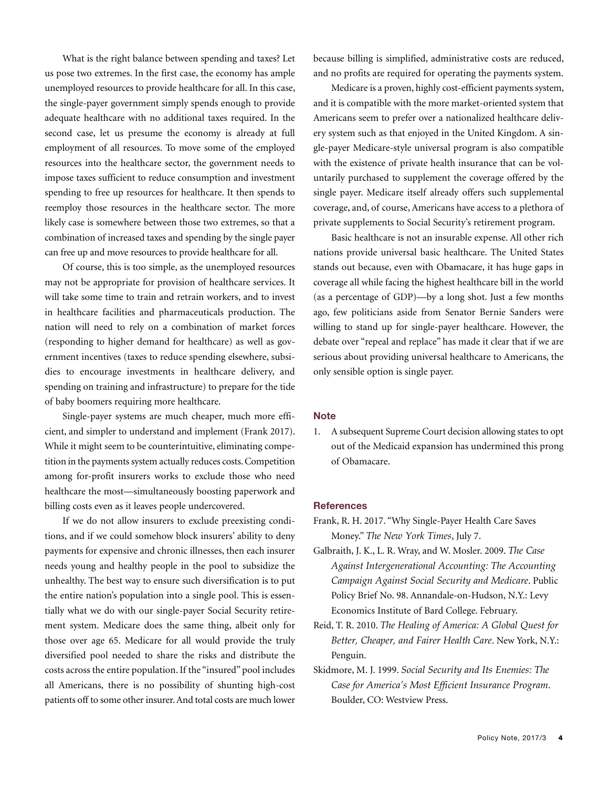What is the right balance between spending and taxes? Let us pose two extremes. In the first case, the economy has ample unemployed resources to provide healthcare for all. In this case, the single-payer government simply spends enough to provide adequate healthcare with no additional taxes required. In the second case, let us presume the economy is already at full employment of all resources. To move some of the employed resources into the healthcare sector, the government needs to impose taxes sufficient to reduce consumption and investment spending to free up resources for healthcare. It then spends to reemploy those resources in the healthcare sector. The more likely case is somewhere between those two extremes, so that a combination of increased taxes and spending by the single payer can free up and move resources to provide healthcare for all.

Of course, this is too simple, as the unemployed resources may not be appropriate for provision of healthcare services. It will take some time to train and retrain workers, and to invest in healthcare facilities and pharmaceuticals production. The nation will need to rely on a combination of market forces (responding to higher demand for healthcare) as well as government incentives (taxes to reduce spending elsewhere, subsidies to encourage investments in healthcare delivery, and spending on training and infrastructure) to prepare for the tide of baby boomers requiring more healthcare.

Single-payer systems are much cheaper, much more efficient, and simpler to understand and implement (Frank 2017). While it might seem to be counterintuitive, eliminating competition in the payments system actually reduces costs. Competition among for-profit insurers works to exclude those who need healthcare the most—simultaneously boosting paperwork and billing costs even as it leaves people undercovered.

If we do not allow insurers to exclude preexisting conditions, and if we could somehow block insurers' ability to deny payments for expensive and chronic illnesses, then each insurer needs young and healthy people in the pool to subsidize the unhealthy. The best way to ensure such diversification is to put the entire nation's population into a single pool. This is essentially what we do with our single-payer Social Security retirement system. Medicare does the same thing, albeit only for those over age 65. Medicare for all would provide the truly diversified pool needed to share the risks and distribute the costs across the entire population.If the "insured" pool includes all Americans, there is no possibility of shunting high-cost patients off to some other insurer.And total costs are much lower

because billing is simplified, administrative costs are reduced, and no profits are required for operating the payments system.

Medicare is a proven, highly cost-efficient payments system, and it is compatible with the more market-oriented system that Americans seem to prefer over a nationalized healthcare delivery system such as that enjoyed in the United Kingdom. A single-payer Medicare-style universal program is also compatible with the existence of private health insurance that can be voluntarily purchased to supplement the coverage offered by the single payer. Medicare itself already offers such supplemental coverage, and, of course, Americans have access to a plethora of private supplements to Social Security's retirement program.

Basic healthcare is not an insurable expense. All other rich nations provide universal basic healthcare. The United States stands out because, even with Obamacare, it has huge gaps in coverage all while facing the highest healthcare bill in the world (as a percentage of GDP)—by a long shot. Just a few months ago, few politicians aside from Senator Bernie Sanders were willing to stand up for single-payer healthcare. However, the debate over "repeal and replace" has made it clear that if we are serious about providing universal healthcare to Americans, the only sensible option is single payer.

### **Note**

1. A subsequent Supreme Court decision allowing states to opt out of the Medicaid expansion has undermined this prong of Obamacare.

#### **References**

- Frank, R. H. 2017. "Why Single-Payer Health Care Saves Money." *The New York Times*, July 7.
- Galbraith, J. K., L. R. Wray, and W. Mosler. 2009. *The Case Against Intergenerational Accounting: The Accounting Campaign Against Social Security and Medicare*. Public Policy Brief No. 98. Annandale-on-Hudson, N.Y.: Levy Economics Institute of Bard College. February.
- Reid, T. R. 2010. *The Healing of America: A Global Quest for Better, Cheaper, and Fairer Health Care*. New York, N.Y.: Penguin.
- Skidmore, M. J. 1999. *Social Security and Its Enemies: The Case for America's Most Efficient Insurance Program*. Boulder, CO: Westview Press.